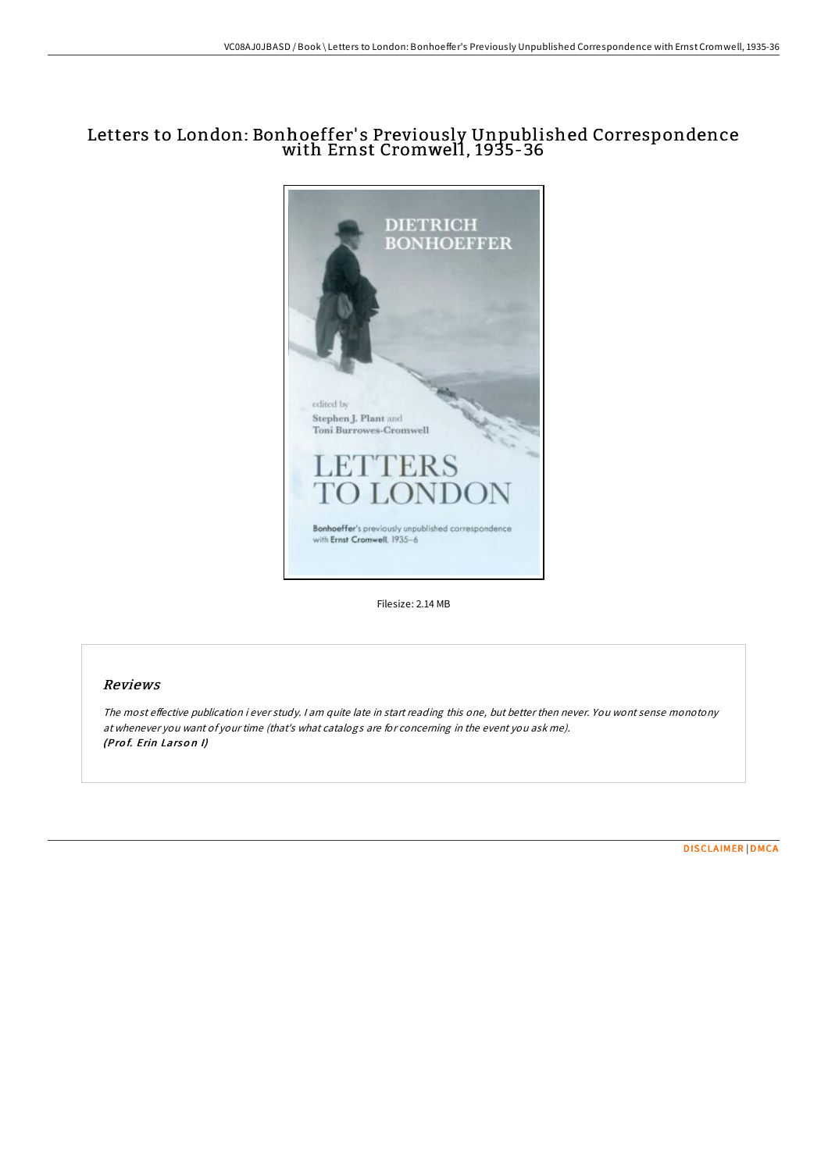## Letters to London: Bonhoeffer' s Previously Unpublished Correspondence with Ernst Cromwell, 1935-36



Filesize: 2.14 MB

## Reviews

The most effective publication i ever study. I am quite late in start reading this one, but better then never. You wont sense monotony at whenever you want of your time (that's what catalogs are for concerning in the event you ask me). (Prof. Erin Larson I)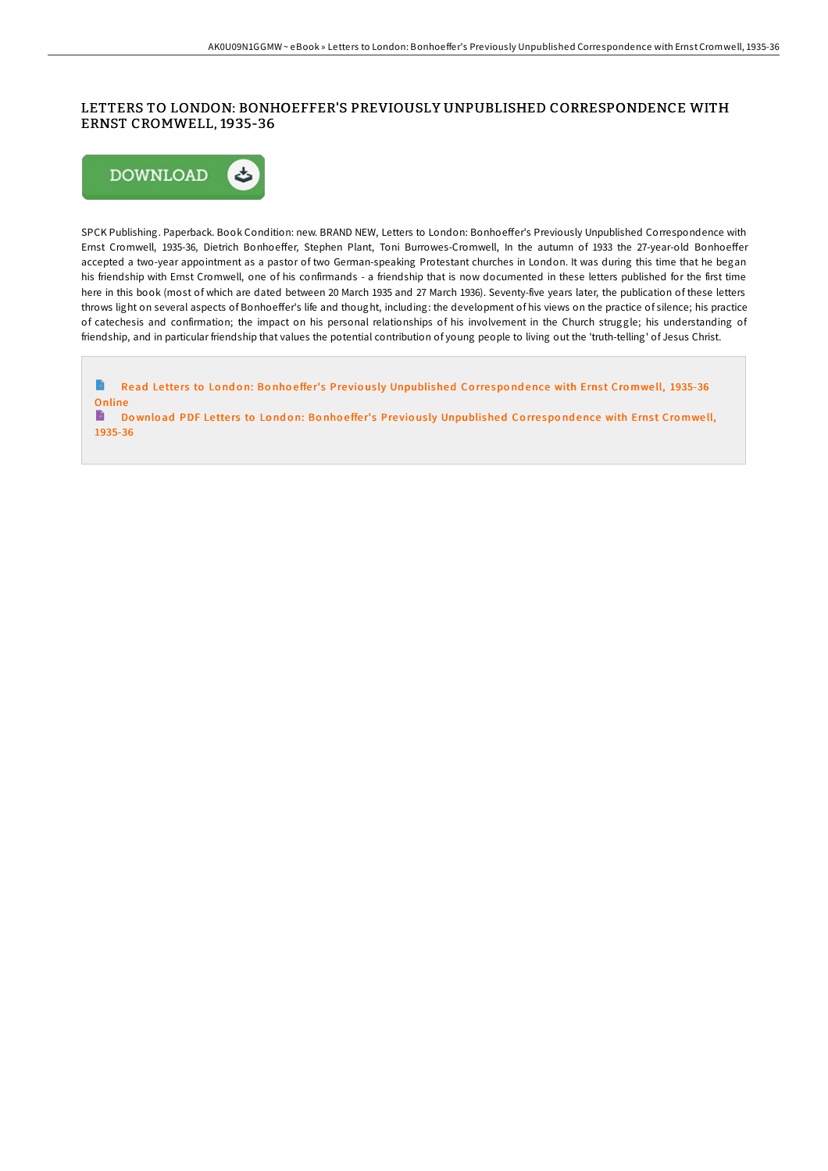## LETTERS TO LONDON: BONHOEFFER'S PREVIOUSLY UNPUBLISHED CORRESPONDENCE WITH ERNST CROMWELL, 1935-36



SPCK Publishing. Paperback. Book Condition: new. BRAND NEW, Letters to London: Bonhoeffer's Previously Unpublished Correspondence with Ernst Cromwell, 1935-36, Dietrich Bonhoeffer, Stephen Plant, Toni Burrowes-Cromwell, In the autumn of 1933 the 27-year-old Bonhoeffer accepted a two-year appointment as a pastor of two German-speaking Protestant churches in London. It was during this time that he began his friendship with Ernst Cromwell, one of his confirmands - a friendship that is now documented in these letters published for the first time here in this book (most of which are dated between 20 March 1935 and 27 March 1936). Seventy-five years later, the publication of these letters throws light on several aspects of Bonhoeffer's life and thought, including: the development of his views on the practice of silence; his practice of catechesis and confirmation; the impact on his personal relationships of his involvement in the Church struggle; his understanding of friendship, and in particular friendship that values the potential contribution of young people to living out the 'truth-telling' of Jesus Christ.

 $\rightarrow$ Read Letters to London: Bonhoeffer's Previously [Unpublished](http://almighty24.tech/letters-to-london-bonhoeffer-x27-s-previously-un.html) Correspondence with Ernst Cromwell, 1935-36 Online

B Download PDF Letters to London: Bonhoeffer's Previously [Unpublished](http://almighty24.tech/letters-to-london-bonhoeffer-x27-s-previously-un.html) Correspondence with Ernst Cromwell, 1935-36